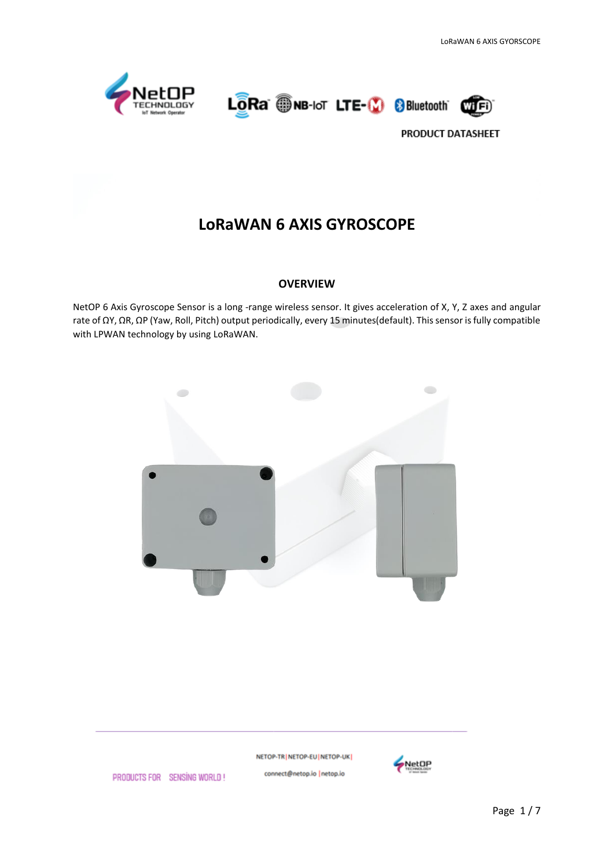





# **LoRaWAN 6 AXIS GYROSCOPE**

#### **OVERVIEW**

NetOP 6 Axis Gyroscope Sensor is a long -range wireless sensor. It gives acceleration of X, Y, Z axes and angular rate of ΩY, ΩR, ΩP (Yaw, Roll, Pitch) output periodically, every 15 minutes(default). This sensor is fully compatible with LPWAN technology by using LoRaWAN.



NETOP-TR | NETOP-EU | NETOP-UK |

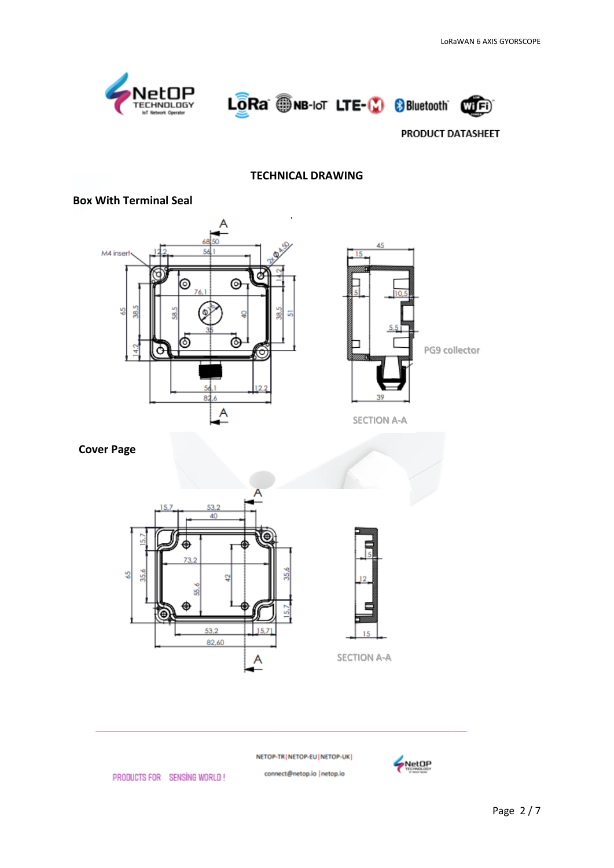





### **TECHNICAL DRAWING**

#### **Box With Terminal Seal**





SECTION A-A

# **Cover Page**





NETOP-TR NETOP-EU NETOP-UK

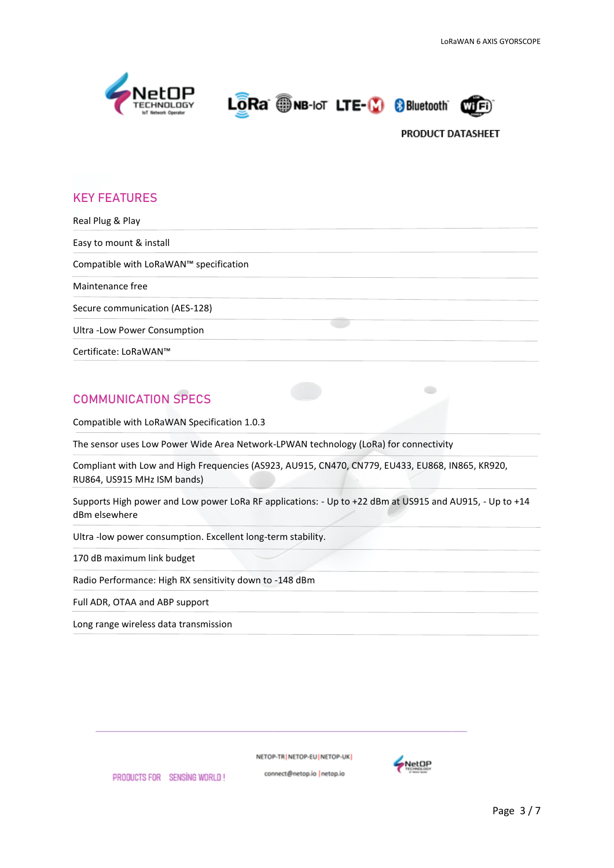





 $\overline{\phantom{0}}$ 

# **KEY FEATURES**

Real Plug & Play Easy to mount & install Compatible with LoRaWAN™ specification Maintenance free Secure communication (AES-128) Ultra -Low Power Consumption Certificate: LoRaWAN™

# **COMMUNICATION SPECS**

Compatible with LoRaWAN Specification 1.0.3

The sensor uses Low Power Wide Area Network-LPWAN technology (LoRa) for connectivity

Compliant with Low and High Frequencies (AS923, AU915, CN470, CN779, EU433, EU868, IN865, KR920, RU864, US915 MHz ISM bands)

Supports High power and Low power LoRa RF applications: - Up to +22 dBm at US915 and AU915, - Up to +14 dBm elsewhere

Ultra -low power consumption. Excellent long-term stability.

170 dB maximum link budget

Radio Performance: High RX sensitivity down to -148 dBm

Full ADR, OTAA and ABP support

Long range wireless data transmission

PRODUCTS FOR SENSING WORLD!

NETOP-TRINETOP-EUINETOP-UK

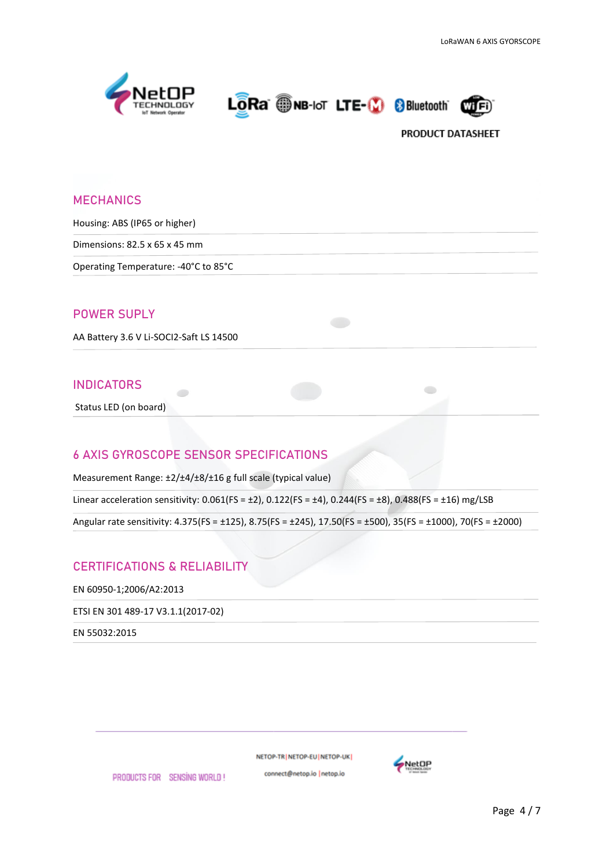





 $\bullet$ 

# **MECHANICS**

Housing: ABS (IP65 or higher)

Dimensions: 82.5 x 65 x 45 mm

Operating Temperature: -40°C to 85°C

#### **POWER SUPLY**

AA Battery 3.6 V Li-SOCI2-Saft LS 14500

#### **INDICATORS**

Status LED (on board)

#### **6 AXIS GYROSCOPE SENSOR SPECIFICATIONS**

Measurement Range: ±2/±4/±8/±16 g full scale (typical value)

Linear acceleration sensitivity:  $0.061(FS = \pm 2)$ ,  $0.122(FS = \pm 4)$ ,  $0.244(FS = \pm 8)$ ,  $0.488(FS = \pm 16)$  mg/LSB

Angular rate sensitivity: 4.375(FS = ±125), 8.75(FS = ±245), 17.50(FS = ±500), 35(FS = ±1000), 70(FS = ±2000)

# **CERTIFICATIONS & RELIABILITY**

EN 60950-1;2006/A2:2013

ETSI EN 301 489-17 V3.1.1(2017-02)

EN 55032:2015

NETOP-TR | NETOP-EU | NETOP-UK |

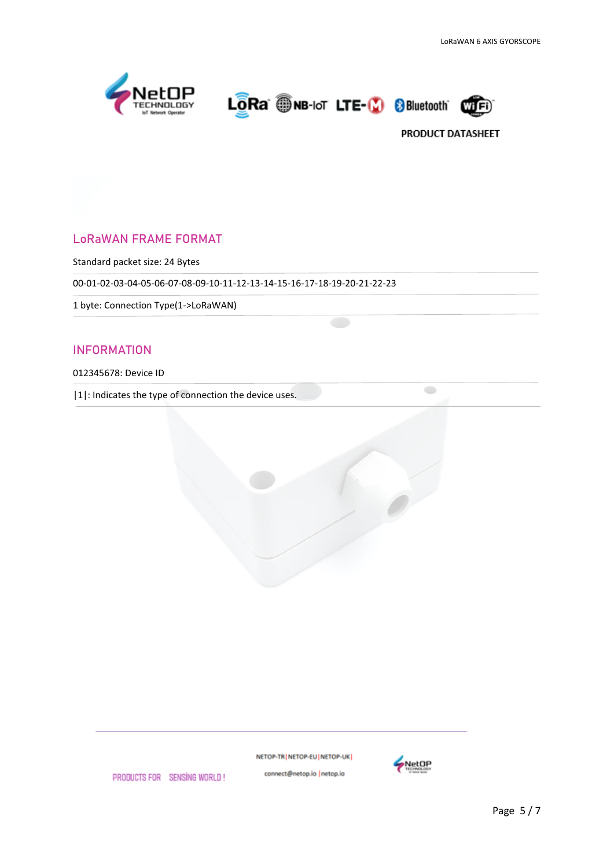





 $\qquad \qquad \Longleftrightarrow$ 

# LoRaWAN FRAME FORMAT

Standard packet size: 24 Bytes

00-01-02-03-04-05-06-07-08-09-10-11-12-13-14-15-16-17-18-19-20-21-22-23

1 byte: Connection Type(1->LoRaWAN)

### INFORMATION

#### 012345678: Device ID

|1|: Indicates the type of connection the device uses.





PRODUCTS FOR SENSING WORLD!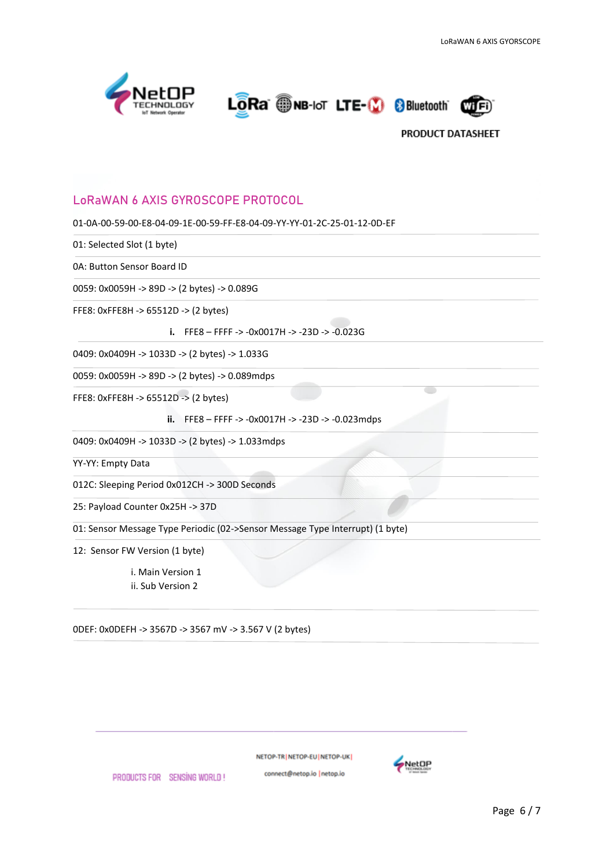





# **LoRaWAN 6 AXIS GYROSCOPE PROTOCOL**

01-0A-00-59-00-E8-04-09-1E-00-59-FF-E8-04-09-YY-YY-01-2C-25-01-12-0D-EF

01: Selected Slot (1 byte)

0A: Button Sensor Board ID

0059: 0x0059H -> 89D -> (2 bytes) -> 0.089G

FFE8: 0xFFE8H -> 65512D -> (2 bytes)

**i.** FFE8 – FFFF -> -0x0017H -> -23D -> -0.023G

0409: 0x0409H -> 1033D -> (2 bytes) -> 1.033G

0059: 0x0059H -> 89D -> (2 bytes) -> 0.089mdps

FFE8: 0xFFE8H -> 65512D -> (2 bytes)

**ii.** FFE8 – FFFF -> -0x0017H -> -23D -> -0.023mdps

0409: 0x0409H -> 1033D -> (2 bytes) -> 1.033mdps

YY-YY: Empty Data

012C: Sleeping Period 0x012CH -> 300D Seconds

25: Payload Counter 0x25H -> 37D

01: Sensor Message Type Periodic (02->Sensor Message Type Interrupt) (1 byte)

12: Sensor FW Version (1 byte)

i. Main Version 1 ii. Sub Version 2

PRODUCTS FOR SENSING WORLD!

0DEF: 0x0DEFH -> 3567D -> 3567 mV -> 3.567 V (2 bytes)

NETOP-TR | NETOP-EU | NETOP-UK |